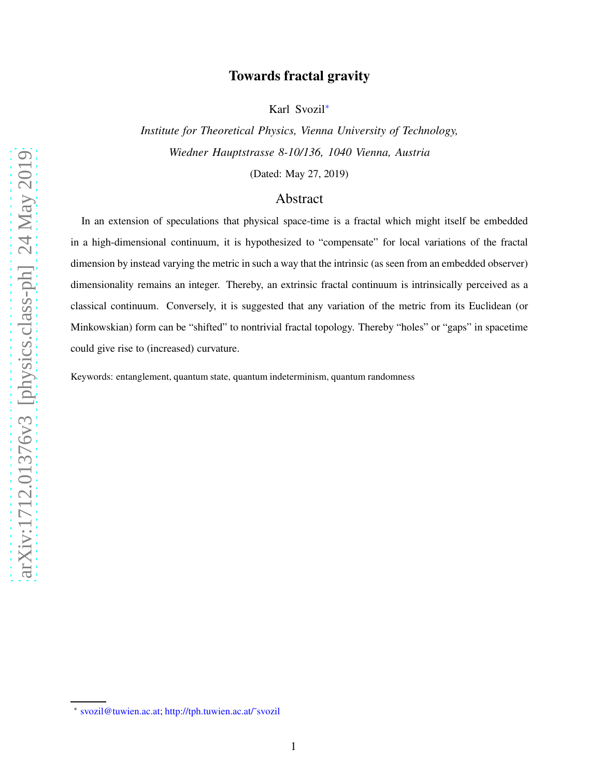## Towards fractal gravity

Karl Svozil[∗](#page-0-0)

*Institute for Theoretical Physics, Vienna University of Technology, Wiedner Hauptstrasse 8-10/136, 1040 Vienna, Austria*

(Dated: May 27, 2019)

## Abstract

In an extension of speculations that physical space-time is a fractal which might itself be embedded in a high-dimensional continuum, it is hypothesized to "compensate" for local variations of the fractal dimension by instead varying the metric in such a way that the intrinsic (as seen from an embedded observer) dimensionality remains an integer. Thereby, an extrinsic fractal continuum is intrinsically perceived as a classical continuum. Conversely, it is suggested that any variation of the metric from its Euclidean (or Minkowskian) form can be "shifted" to nontrivial fractal topology. Thereby "holes" or "gaps" in spacetime could give rise to (increased) curvature.

Keywords: entanglement, quantum state, quantum indeterminism, quantum randomness

<span id="page-0-0"></span><sup>∗</sup> [svozil@tuwien.ac.at;](mailto:svozil@tuwien.ac.at) [http://tph.tuwien.ac.at/˜svozil](http://tph.tuwien.ac.at/~svozil)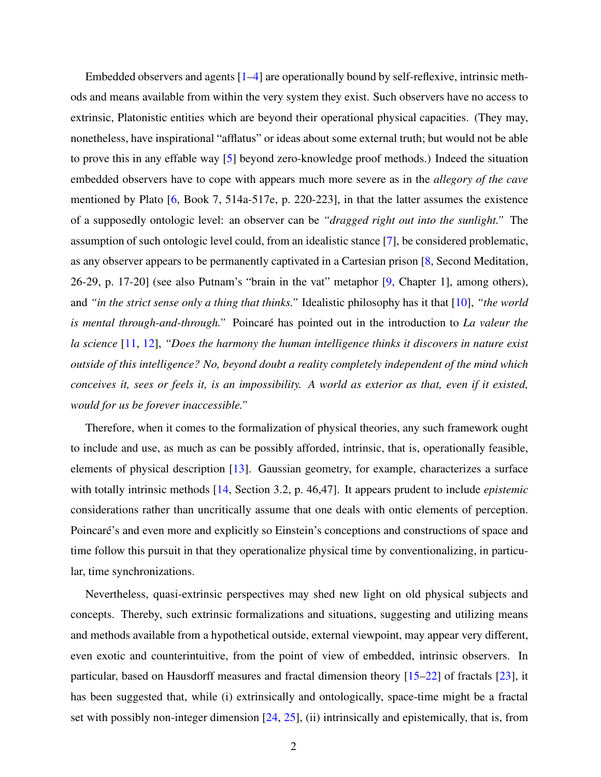Embedded observers and agents [\[1](#page-6-0)[–4\]](#page-6-1) are operationally bound by self-reflexive, intrinsic methods and means available from within the very system they exist. Such observers have no access to extrinsic, Platonistic entities which are beyond their operational physical capacities. (They may, nonetheless, have inspirational "afflatus" or ideas about some external truth; but would not be able to prove this in any effable way [\[5](#page-6-2)] beyond zero-knowledge proof methods.) Indeed the situation embedded observers have to cope with appears much more severe as in the *allegory of the cave* mentioned by Plato [\[6](#page-6-3), Book 7, 514a-517e, p. 220-223], in that the latter assumes the existence of a supposedly ontologic level: an observer can be *"dragged right out into the sunlight."* The assumption of such ontologic level could, from an idealistic stance [\[7](#page-6-4)], be considered problematic, as any observer appears to be permanently captivated in a Cartesian prison [\[8,](#page-6-5) Second Meditation, 26-29, p. 17-20] (see also Putnam's "brain in the vat" metaphor [\[9](#page-6-6), Chapter 1], among others), and *"in the strict sense only a thing that thinks."* Idealistic philosophy has it that [\[10](#page-6-7)], *"the world is mental through-and-through.*" Poincaré has pointed out in the introduction to *La valeur the la science* [\[11](#page-6-8), [12\]](#page-6-9), *"Does the harmony the human intelligence thinks it discovers in nature exist outside of this intelligence? No, beyond doubt a reality completely independent of the mind which conceives it, sees or feels it, is an impossibility. A world as exterior as that, even if it existed, would for us be forever inaccessible."*

Therefore, when it comes to the formalization of physical theories, any such framework ought to include and use, as much as can be possibly afforded, intrinsic, that is, operationally feasible, elements of physical description [\[13](#page-7-0)]. Gaussian geometry, for example, characterizes a surface with totally intrinsic methods [\[14](#page-7-1), Section 3.2, p. 46,47]. It appears prudent to include *epistemic* considerations rather than uncritically assume that one deals with ontic elements of perception. Poincaré's and even more and explicitly so Einstein's conceptions and constructions of space and time follow this pursuit in that they operationalize physical time by conventionalizing, in particular, time synchronizations.

Nevertheless, quasi-extrinsic perspectives may shed new light on old physical subjects and concepts. Thereby, such extrinsic formalizations and situations, suggesting and utilizing means and methods available from a hypothetical outside, external viewpoint, may appear very different, even exotic and counterintuitive, from the point of view of embedded, intrinsic observers. In particular, based on Hausdorff measures and fractal dimension theory [\[15](#page-7-2)[–22\]](#page-7-3) of fractals [\[23](#page-7-4)], it has been suggested that, while (i) extrinsically and ontologically, space-time might be a fractal set with possibly non-integer dimension [\[24](#page-7-5), [25](#page-7-6)], (ii) intrinsically and epistemically, that is, from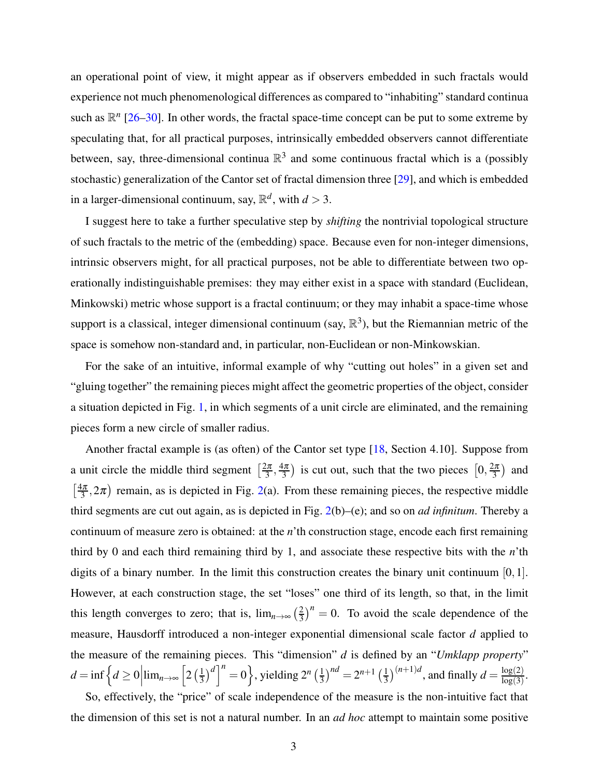an operational point of view, it might appear as if observers embedded in such fractals would experience not much phenomenological differences as compared to "inhabiting" standard continua such as  $\mathbb{R}^n$  [\[26](#page-7-7)[–30](#page-8-0)]. In other words, the fractal space-time concept can be put to some extreme by speculating that, for all practical purposes, intrinsically embedded observers cannot differentiate between, say, three-dimensional continua  $\mathbb{R}^3$  and some continuous fractal which is a (possibly stochastic) generalization of the Cantor set of fractal dimension three [\[29](#page-8-1)], and which is embedded in a larger-dimensional continuum, say,  $\mathbb{R}^d$ , with  $d > 3$ .

I suggest here to take a further speculative step by *shifting* the nontrivial topological structure of such fractals to the metric of the (embedding) space. Because even for non-integer dimensions, intrinsic observers might, for all practical purposes, not be able to differentiate between two operationally indistinguishable premises: they may either exist in a space with standard (Euclidean, Minkowski) metric whose support is a fractal continuum; or they may inhabit a space-time whose support is a classical, integer dimensional continuum (say,  $\mathbb{R}^3$ ), but the Riemannian metric of the space is somehow non-standard and, in particular, non-Euclidean or non-Minkowskian.

For the sake of an intuitive, informal example of why "cutting out holes" in a given set and "gluing together" the remaining pieces might affect the geometric properties of the object, consider a situation depicted in Fig. [1,](#page-3-0) in which segments of a unit circle are eliminated, and the remaining pieces form a new circle of smaller radius.

Another fractal example is (as often) of the Cantor set type [\[18](#page-7-8), Section 4.10]. Suppose from a unit circle the middle third segment  $\left[\frac{2\pi}{3}\right]$  $\frac{2\pi}{3}, \frac{4\pi}{3}$  $\left(\frac{4\pi}{3}\right)$  is cut out, such that the two pieces  $\left[0, \frac{2\pi}{3}\right)$  $\frac{2\pi}{3}$  and  $\frac{4\pi}{3}$  $\left(\frac{3\pi}{3}, 2\pi\right)$  remain, as is depicted in Fig. [2\(](#page-4-0)a). From these remaining pieces, the respective middle third segments are cut out again, as is depicted in Fig. [2\(](#page-4-0)b)–(e); and so on *ad infinitum*. Thereby a continuum of measure zero is obtained: at the *n*'th construction stage, encode each first remaining third by 0 and each third remaining third by 1, and associate these respective bits with the *n*'th digits of a binary number. In the limit this construction creates the binary unit continuum  $[0,1]$ . However, at each construction stage, the set "loses" one third of its length, so that, in the limit this length converges to zero; that is,  $\lim_{n\to\infty}$   $\left(\frac{2}{3}\right)$  $\frac{2}{3}$ )<sup>n</sup> = 0. To avoid the scale dependence of the measure, Hausdorff introduced a non-integer exponential dimensional scale factor *d* applied to the measure of the remaining pieces. This "dimension" *d* is defined by an "*Umklapp property*"  $d = \inf \left\{ d \geq 0 \middle| \lim_{n \to \infty} \left[ 2 \left( \frac{1}{3} \right) \right]$  $\left(\frac{1}{3}\right)^d\right|^n = 0$ , yielding  $2^n \left(\frac{1}{3}\right)$  $\left(\frac{1}{3}\right)^{nd} = 2^{n+1} \left(\frac{1}{3}\right)$  $\frac{1}{3}$ )<sup>(n+1)*d*</sup>, and finally  $d = \frac{\log(2)}{\log(3)}$  $\frac{\log(2)}{\log(3)}$ So, effectively, the "price" of scale independence of the measure is the non-intuitive fact that

the dimension of this set is not a natural number. In an *ad hoc* attempt to maintain some positive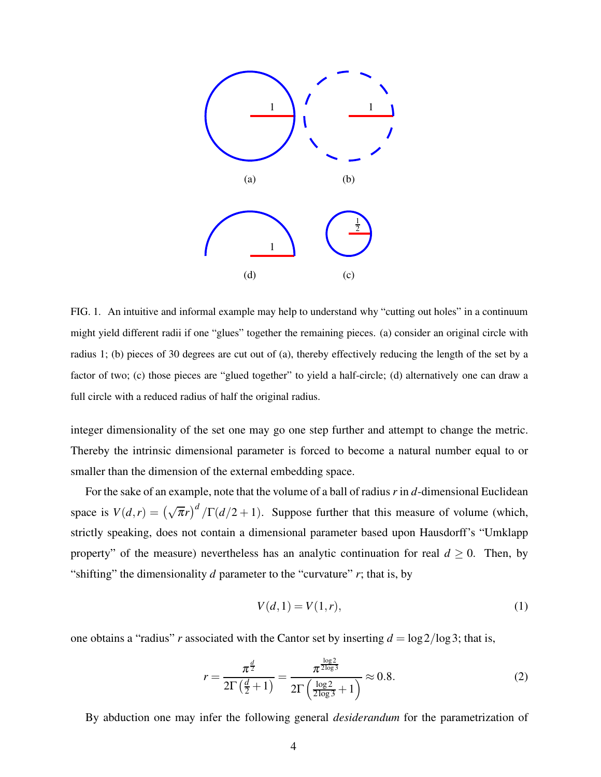

<span id="page-3-0"></span>FIG. 1. An intuitive and informal example may help to understand why "cutting out holes" in a continuum might yield different radii if one "glues" together the remaining pieces. (a) consider an original circle with radius 1; (b) pieces of 30 degrees are cut out of (a), thereby effectively reducing the length of the set by a factor of two; (c) those pieces are "glued together" to yield a half-circle; (d) alternatively one can draw a full circle with a reduced radius of half the original radius.

integer dimensionality of the set one may go one step further and attempt to change the metric. Thereby the intrinsic dimensional parameter is forced to become a natural number equal to or smaller than the dimension of the external embedding space.

For the sake of an example, note that the volume of a ball of radius *r* in *d*-dimensional Euclidean space is  $V(d,r) = (\sqrt{\pi}r)^d / \Gamma(d/2 + 1)$ . Suppose further that this measure of volume (which, strictly speaking, does not contain a dimensional parameter based upon Hausdorff's "Umklapp property" of the measure) nevertheless has an analytic continuation for real  $d \geq 0$ . Then, by "shifting" the dimensionality  $d$  parameter to the "curvature"  $r$ ; that is, by

$$
V(d,1) = V(1,r),
$$
 (1)

one obtains a "radius" *r* associated with the Cantor set by inserting  $d = \log 2 / \log 3$ ; that is,

<span id="page-3-1"></span>
$$
r = \frac{\pi^{\frac{d}{2}}}{2\Gamma(\frac{d}{2}+1)} = \frac{\pi^{\frac{\log 2}{2\log 3}}}{2\Gamma(\frac{\log 2}{2\log 3}+1)} \approx 0.8.
$$
 (2)

By abduction one may infer the following general *desiderandum* for the parametrization of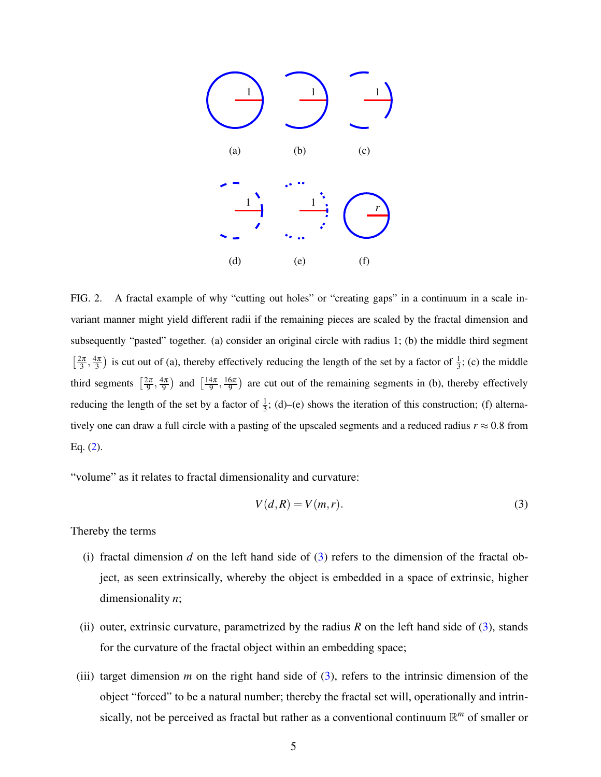

<span id="page-4-0"></span>FIG. 2. A fractal example of why "cutting out holes" or "creating gaps" in a continuum in a scale invariant manner might yield different radii if the remaining pieces are scaled by the fractal dimension and subsequently "pasted" together. (a) consider an original circle with radius 1; (b) the middle third segment  $\lceil \frac{2\pi}{3} \rceil$  $\frac{2\pi}{3}, \frac{4\pi}{3}$  $\frac{4\pi}{3}$ ) is cut out of (a), thereby effectively reducing the length of the set by a factor of  $\frac{1}{3}$ ; (c) the middle third segments  $\left[\frac{2\pi}{9}\right]$  $\frac{2\pi}{9}, \frac{4\pi}{9}$  $\frac{4\pi}{9}$  and  $\left[\frac{14\pi}{9}\right]$  $\frac{4\pi}{9}, \frac{16\pi}{9}$  $\frac{6\pi}{9}$  are cut out of the remaining segments in (b), thereby effectively reducing the length of the set by a factor of  $\frac{1}{3}$ ; (d)–(e) shows the iteration of this construction; (f) alternatively one can draw a full circle with a pasting of the upscaled segments and a reduced radius  $r \approx 0.8$  from Eq. [\(2\)](#page-3-1).

"volume" as it relates to fractal dimensionality and curvature:

<span id="page-4-1"></span>
$$
V(d,R) = V(m,r). \tag{3}
$$

Thereby the terms

- (i) fractal dimension *d* on the left hand side of  $(3)$  refers to the dimension of the fractal object, as seen extrinsically, whereby the object is embedded in a space of extrinsic, higher dimensionality *n*;
- (ii) outer, extrinsic curvature, parametrized by the radius  $R$  on the left hand side of [\(3\)](#page-4-1), stands for the curvature of the fractal object within an embedding space;
- (iii) target dimension *m* on the right hand side of  $(3)$ , refers to the intrinsic dimension of the object "forced" to be a natural number; thereby the fractal set will, operationally and intrinsically, not be perceived as fractal but rather as a conventional continuum R *<sup>m</sup>* of smaller or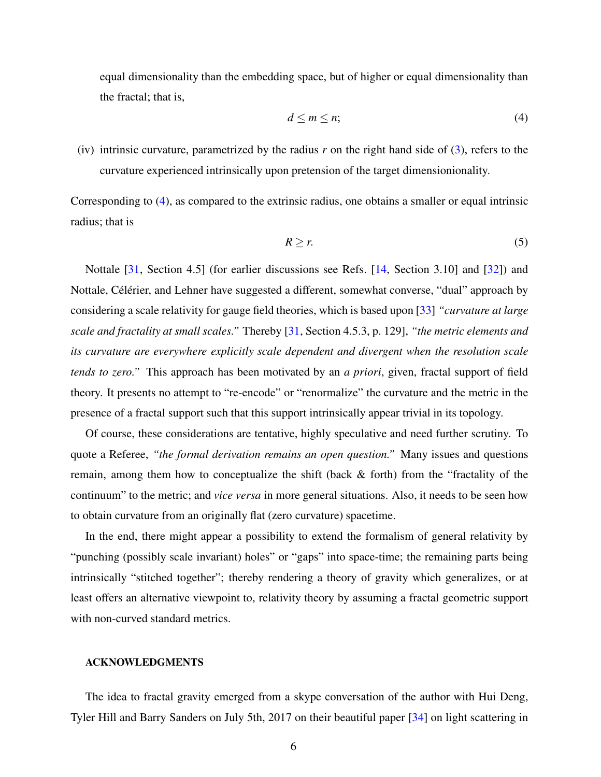equal dimensionality than the embedding space, but of higher or equal dimensionality than the fractal; that is,

<span id="page-5-0"></span>
$$
d \le m \le n;\tag{4}
$$

(iv) intrinsic curvature, parametrized by the radius *r* on the right hand side of [\(3\)](#page-4-1), refers to the curvature experienced intrinsically upon pretension of the target dimensionionality.

Corresponding to [\(4\)](#page-5-0), as compared to the extrinsic radius, one obtains a smaller or equal intrinsic radius; that is

$$
R \ge r. \tag{5}
$$

Nottale [\[31](#page-8-2), Section 4.5] (for earlier discussions see Refs. [\[14](#page-7-1), Section 3.10] and [\[32\]](#page-8-3)) and Nottale, Célérier, and Lehner have suggested a different, somewhat converse, "dual" approach by considering a scale relativity for gauge field theories, which is based upon [\[33\]](#page-8-4) *"curvature at large scale and fractality at small scales."* Thereby [\[31,](#page-8-2) Section 4.5.3, p. 129], *"the metric elements and its curvature are everywhere explicitly scale dependent and divergent when the resolution scale tends to zero."* This approach has been motivated by an *a priori*, given, fractal support of field theory. It presents no attempt to "re-encode" or "renormalize" the curvature and the metric in the presence of a fractal support such that this support intrinsically appear trivial in its topology.

Of course, these considerations are tentative, highly speculative and need further scrutiny. To quote a Referee, *"the formal derivation remains an open question."* Many issues and questions remain, among them how to conceptualize the shift (back & forth) from the "fractality of the continuum" to the metric; and *vice versa* in more general situations. Also, it needs to be seen how to obtain curvature from an originally flat (zero curvature) spacetime.

In the end, there might appear a possibility to extend the formalism of general relativity by "punching (possibly scale invariant) holes" or "gaps" into space-time; the remaining parts being intrinsically "stitched together"; thereby rendering a theory of gravity which generalizes, or at least offers an alternative viewpoint to, relativity theory by assuming a fractal geometric support with non-curved standard metrics.

## ACKNOWLEDGMENTS

The idea to fractal gravity emerged from a skype conversation of the author with Hui Deng, Tyler Hill and Barry Sanders on July 5th, 2017 on their beautiful paper [\[34](#page-8-5)] on light scattering in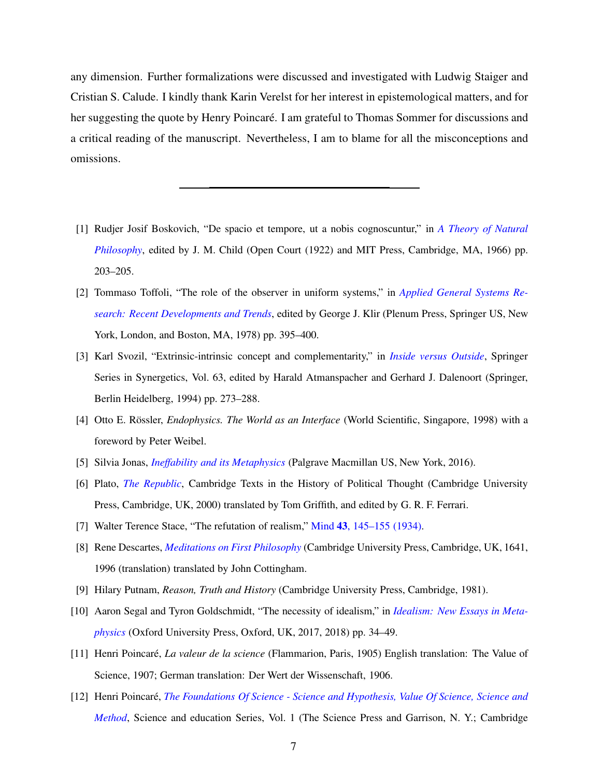any dimension. Further formalizations were discussed and investigated with Ludwig Staiger and Cristian S. Calude. I kindly thank Karin Verelst for her interest in epistemological matters, and for her suggesting the quote by Henry Poincaré. I am grateful to Thomas Sommer for discussions and a critical reading of the manuscript. Nevertheless, I am to blame for all the misconceptions and omissions.

- <span id="page-6-0"></span>[1] Rudjer Josif Boskovich, "De spacio et tempore, ut a nobis cognoscuntur," in *A Theory of Natural Philosophy*, edited by J. M. Child (Open Court (1922) and MIT Press, Cambridge, MA, 1966) pp. 203–205.
- [2] Tommaso Toffoli, "The role of the observer in uniform systems," in *Applied General Systems Research: Recent Developments and Trends*[, edited by George J. Klir \(Ple](http://dx.doi.org/ 10.1007/978-1-4757-0555-3_29)num Press, Springer US, New York, London, and Boston, MA, 1978) pp. 395–400.
- [3] Karl Svozil, "Extrinsic-intrinsic concept and complementarity," in *[Inside versus Outside](http://dx.doi.org/ 10.1007/978-3-642-48647-0_15)*, Springer Series in Synergetics, Vol. 63, edited by Harald Atmanspacher and Gerhard J. Dalenoort (Springer, Berlin Heidelberg, 1994) pp. 273–288.
- <span id="page-6-1"></span>[4] Otto E. Rössler, *Endophysics. The World as an Interface* (World Scientific, Singapore, 1998) with a foreword by Peter Weibel.
- <span id="page-6-2"></span>[5] Silvia Jonas, *[Ineffability and its Metaphysics](http://dx.doi.org/10.1057/978-1-137-57955-3)* (Palgrave Macmillan US, New York, 2016).
- <span id="page-6-3"></span>[6] Plato, *[The Republic](http://www.cambridge.org/academic/subjects/politics-international-relations/texts-political-thought/plato-republic)*, Cambridge Texts in the History of Political Thought (Cambridge University Press, Cambridge, UK, 2000) translated by Tom Griffith, and edited by G. R. F. Ferrari.
- <span id="page-6-4"></span>[7] Walter Terence Stace, "The refutation of realism," Mind 43[, 145–155 \(1934\).](http://dx.doi.org/10.1093/mind/XLIII.170.145)
- <span id="page-6-5"></span>[8] Rene Descartes, *[Meditations on First Philosophy](http://www.cambridge.org/catalogue/catalogue.asp?isbn=9781107108660)* (Cambridge University Press, Cambridge, UK, 1641, 1996 (translation) translated by John Cottingham.
- <span id="page-6-6"></span>[9] Hilary Putnam, *Reason, Truth and History* (Cambridge University Press, Cambridge, 1981).
- <span id="page-6-7"></span>[10] Aaron Segal and Tyron Goldschmidt, "The necessity of idealism," in *Idealism: New Essays in Metaphysics* (Oxford University Press, Oxford, UK, 2017, 2018) pp. 34–49.
- <span id="page-6-8"></span>[11] Henri Poincar´e, *La valeur de la science* (Flammarion, Paris, 1905) English translation: The Value of Science, 1907; German translation: Der Wert der Wissenschaft, 1906.
- <span id="page-6-9"></span>[12] Henri Poincar´e, *The Foundations Of Science - Science and Hypothesis, Value Of Science, Science and Method*[, Science](http://dx.doi.org/10.1017/CBO9781107252950) and education Series, Vol. 1 (The Science Press and Garrison, N. Y.; Cambridge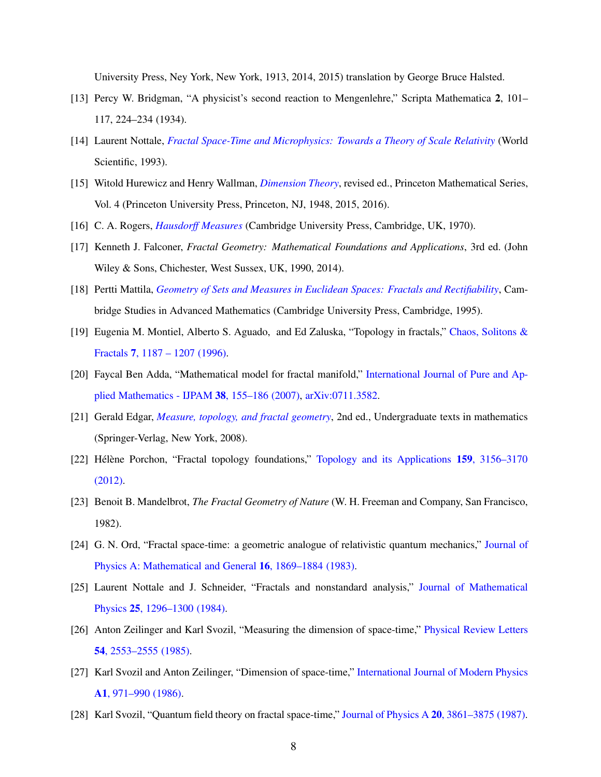University Press, Ney York, New York, 1913, 2014, 2015) translation by George Bruce Halsted.

- <span id="page-7-0"></span>[13] Percy W. Bridgman, "A physicist's second reaction to Mengenlehre," Scripta Mathematica 2, 101– 117, 224–234 (1934).
- <span id="page-7-1"></span>[14] Laurent Nottale, *[Fractal Space-Time and Microphysics: Towards a Theory of Scale Relativity](http://dx.doi.org/10.1142/1579)* (World Scientific, 1993).
- <span id="page-7-2"></span>[15] Witold Hurewicz and Henry Wallman, *[Dimension Theory](http://press.princeton.edu/titles/1199.html)*, revised ed., Princeton Mathematical Series, Vol. 4 (Princeton University Press, Princeton, NJ, 1948, 2015, 2016).
- [16] C. A. Rogers, *[Hausdorff Measures](http://gen.lib.rus.ec/book/index.php?md5=A022F897D463FC97F8D784265F92AB55)* (Cambridge University Press, Cambridge, UK, 1970).
- [17] Kenneth J. Falconer, *Fractal Geometry: Mathematical Foundations and Applications*, 3rd ed. (John Wiley & Sons, Chichester, West Sussex, UK, 1990, 2014).
- <span id="page-7-8"></span>[18] Pertti Mattila, *[Geometry of Sets and Measures in Euclidean Spaces: Fractals](http://dx.doi.org/10.1017/CBO9780511623813) and Rectifiability*, Cambridge Studies in Advanced Mathematics (Cambridge University Press, Cambridge, 1995).
- [19] Eugenia M. Montiel, Alberto S. Aguado, and Ed Zaluska, "Topology in fractals," Chaos, Solitons & Fractals 7, 1187 – 1207 (1996).
- [20] Faycal Ben Adda, "Mathematical model for fractal manifold," International Journal of Pure and Applied Mathematics - IJPAM 38, 155–186 (2007), [arXiv:0711.3582.](http://arxiv.org/abs/arXiv:0711.3582)
- [21] Gerald Edgar, *[Measure, topology, and fractal geometry](http://dx.doi.org/10.1007/978-0-387-74749-1)*, 2nd ed., Undergraduate texts in mathematics (Springer-Verlag, New York, 2008).
- <span id="page-7-3"></span>[22] Hélène Porchon, "Fractal topology foundations," Topology and its Applications 159, 3156–3170 (2012).
- <span id="page-7-4"></span>[23] Benoit B. Mandelbrot, *The Fractal Geometry of Nature* (W. H. Freeman and Company, San Francisco, 1982).
- <span id="page-7-5"></span>[24] G. N. Ord, "Fractal space-time: a geometric analogue of relativistic quantum mechanics," Journal of Physics A: Mathematical and General 16, 1869–1884 (1983).
- <span id="page-7-6"></span>[25] Laurent Nottale and J. Schneider, "Fractals and nonstandard analysis," Journal of Mathematical Physics 25, 1296–1300 (1984).
- <span id="page-7-7"></span>[26] Anton Zeilinger and Karl Svozil, "Measuring the dimension of space-time," Physical Review Letters 54, 2553–2555 (1985)[.](http://dx.doi.org/10.1103/PhysRevLett.54.2553)
- [27] Karl Svozil and Anton Zeilinger, "Dimension of space-time," International Journal of Modern Physics A1, 971–990 (1986).
- [28] Karl Svozil, "Quantum field theory on fractal space-time," [Journal of Physics A](http://dx.doi.org/ 10.1088/0305-4470/20/12/033) 20, 3861–3875 (1987).